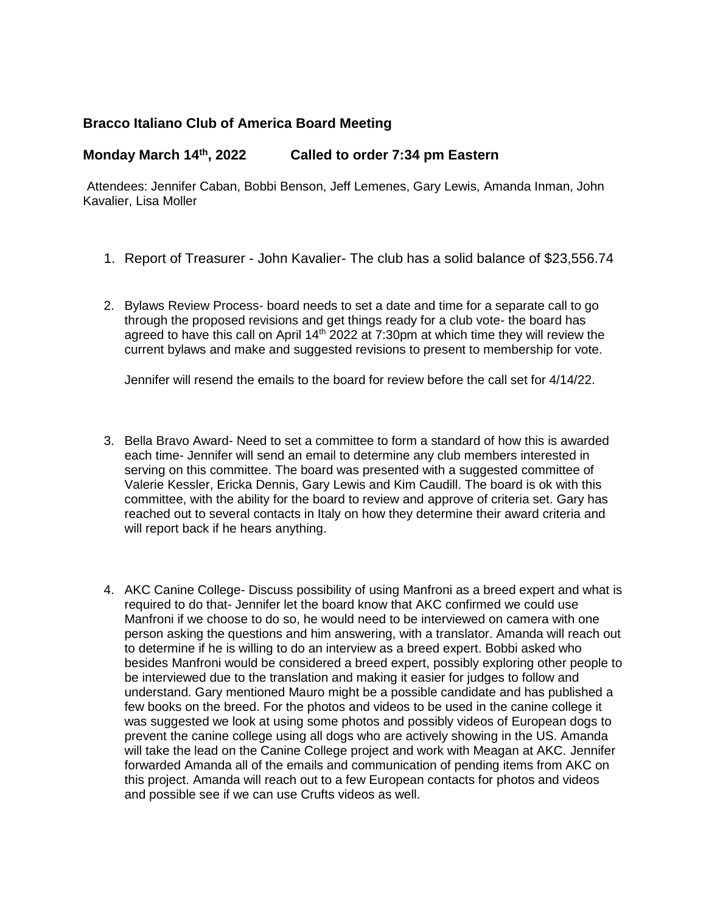## **Bracco Italiano Club of America Board Meeting**

## **Monday March 14th, 2022 Called to order 7:34 pm Eastern**

Attendees: Jennifer Caban, Bobbi Benson, Jeff Lemenes, Gary Lewis, Amanda Inman, John Kavalier, Lisa Moller

- 1. Report of Treasurer John Kavalier- The club has a solid balance of \$23,556.74
- 2. Bylaws Review Process- board needs to set a date and time for a separate call to go through the proposed revisions and get things ready for a club vote- the board has agreed to have this call on April  $14<sup>th</sup>$  2022 at 7:30pm at which time they will review the current bylaws and make and suggested revisions to present to membership for vote.

Jennifer will resend the emails to the board for review before the call set for 4/14/22.

- 3. Bella Bravo Award- Need to set a committee to form a standard of how this is awarded each time- Jennifer will send an email to determine any club members interested in serving on this committee. The board was presented with a suggested committee of Valerie Kessler, Ericka Dennis, Gary Lewis and Kim Caudill. The board is ok with this committee, with the ability for the board to review and approve of criteria set. Gary has reached out to several contacts in Italy on how they determine their award criteria and will report back if he hears anything.
- 4. AKC Canine College- Discuss possibility of using Manfroni as a breed expert and what is required to do that- Jennifer let the board know that AKC confirmed we could use Manfroni if we choose to do so, he would need to be interviewed on camera with one person asking the questions and him answering, with a translator. Amanda will reach out to determine if he is willing to do an interview as a breed expert. Bobbi asked who besides Manfroni would be considered a breed expert, possibly exploring other people to be interviewed due to the translation and making it easier for judges to follow and understand. Gary mentioned Mauro might be a possible candidate and has published a few books on the breed. For the photos and videos to be used in the canine college it was suggested we look at using some photos and possibly videos of European dogs to prevent the canine college using all dogs who are actively showing in the US. Amanda will take the lead on the Canine College project and work with Meagan at AKC. Jennifer forwarded Amanda all of the emails and communication of pending items from AKC on this project. Amanda will reach out to a few European contacts for photos and videos and possible see if we can use Crufts videos as well.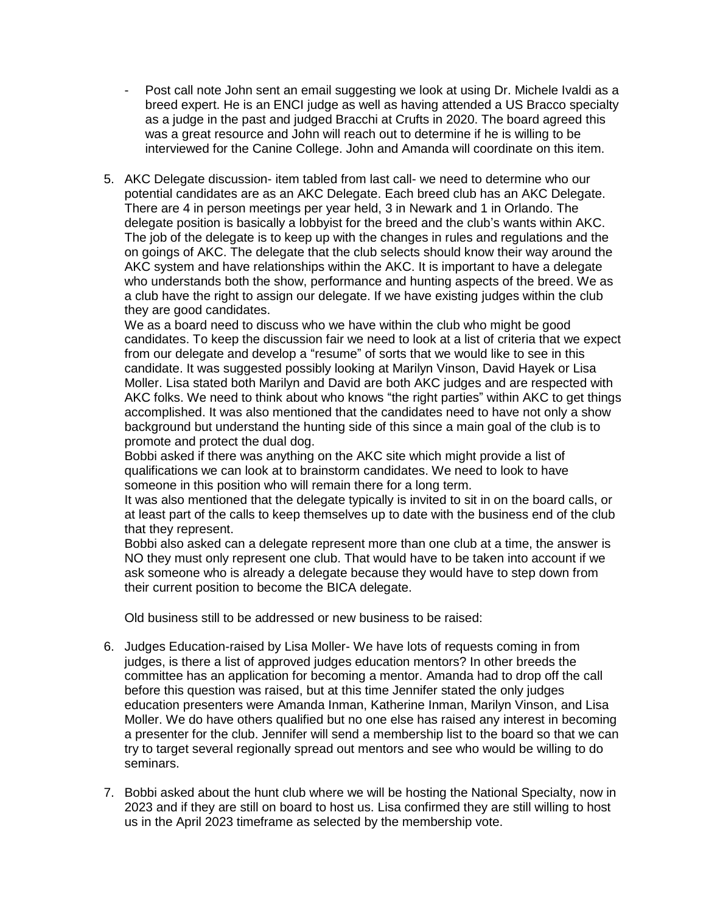- Post call note John sent an email suggesting we look at using Dr. Michele Ivaldi as a breed expert. He is an ENCI judge as well as having attended a US Bracco specialty as a judge in the past and judged Bracchi at Crufts in 2020. The board agreed this was a great resource and John will reach out to determine if he is willing to be interviewed for the Canine College. John and Amanda will coordinate on this item.
- 5. AKC Delegate discussion- item tabled from last call- we need to determine who our potential candidates are as an AKC Delegate. Each breed club has an AKC Delegate. There are 4 in person meetings per year held, 3 in Newark and 1 in Orlando. The delegate position is basically a lobbyist for the breed and the club's wants within AKC. The job of the delegate is to keep up with the changes in rules and regulations and the on goings of AKC. The delegate that the club selects should know their way around the AKC system and have relationships within the AKC. It is important to have a delegate who understands both the show, performance and hunting aspects of the breed. We as a club have the right to assign our delegate. If we have existing judges within the club they are good candidates.

We as a board need to discuss who we have within the club who might be good candidates. To keep the discussion fair we need to look at a list of criteria that we expect from our delegate and develop a "resume" of sorts that we would like to see in this candidate. It was suggested possibly looking at Marilyn Vinson, David Hayek or Lisa Moller. Lisa stated both Marilyn and David are both AKC judges and are respected with AKC folks. We need to think about who knows "the right parties" within AKC to get things accomplished. It was also mentioned that the candidates need to have not only a show background but understand the hunting side of this since a main goal of the club is to promote and protect the dual dog.

Bobbi asked if there was anything on the AKC site which might provide a list of qualifications we can look at to brainstorm candidates. We need to look to have someone in this position who will remain there for a long term.

It was also mentioned that the delegate typically is invited to sit in on the board calls, or at least part of the calls to keep themselves up to date with the business end of the club that they represent.

Bobbi also asked can a delegate represent more than one club at a time, the answer is NO they must only represent one club. That would have to be taken into account if we ask someone who is already a delegate because they would have to step down from their current position to become the BICA delegate.

Old business still to be addressed or new business to be raised:

- 6. Judges Education-raised by Lisa Moller- We have lots of requests coming in from judges, is there a list of approved judges education mentors? In other breeds the committee has an application for becoming a mentor. Amanda had to drop off the call before this question was raised, but at this time Jennifer stated the only judges education presenters were Amanda Inman, Katherine Inman, Marilyn Vinson, and Lisa Moller. We do have others qualified but no one else has raised any interest in becoming a presenter for the club. Jennifer will send a membership list to the board so that we can try to target several regionally spread out mentors and see who would be willing to do seminars.
- 7. Bobbi asked about the hunt club where we will be hosting the National Specialty, now in 2023 and if they are still on board to host us. Lisa confirmed they are still willing to host us in the April 2023 timeframe as selected by the membership vote.